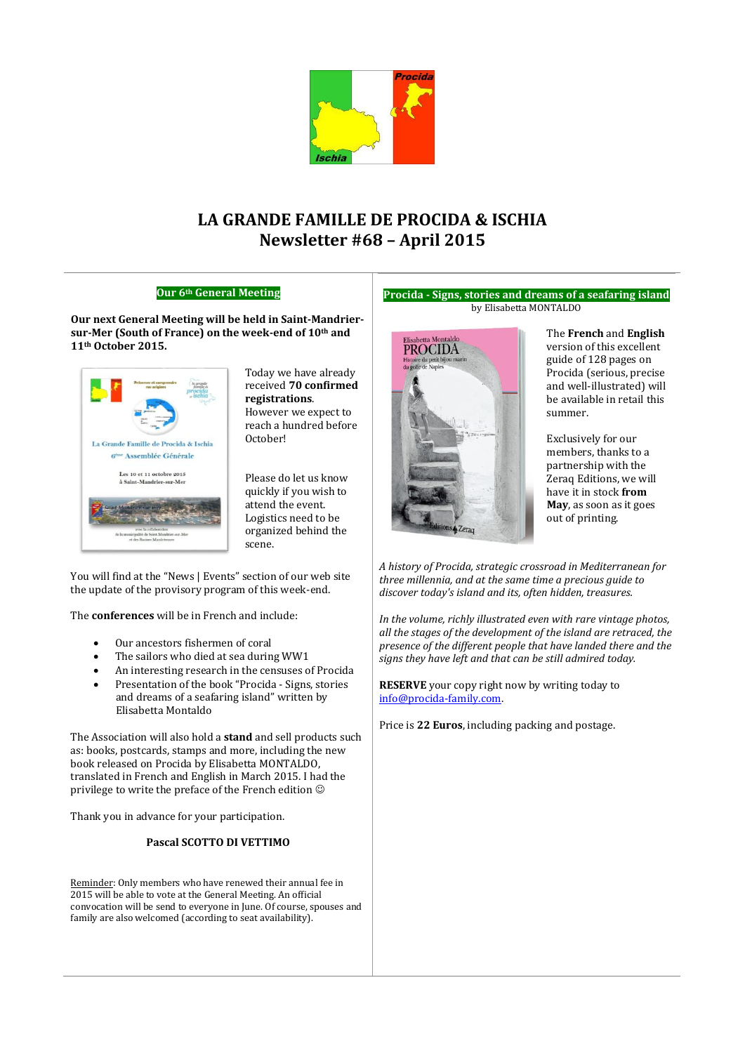

# **LA GRANDE FAMILLE DE PROCIDA & ISCHIA Newsletter #68 – April 2015**

### **Our 6th General Meeting**

**Our next General Meeting will be held in Saint-Mandriersur-Mer (South of France) on the week-end of 10th and 11th October 2015.**



Today we have already received **70 confirmed registrations**. However we expect to reach a hundred before October!

Please do let us know quickly if you wish to attend the event. Logistics need to be organized behind the scene.

You will find at the "News | Events" section of our web site the update of the provisory program of this week-end.

The **conferences** will be in French and include:

- Our ancestors fishermen of coral
- The sailors who died at sea during WW1
- An interesting research in the censuses of Procida
- Presentation of the book "Procida Signs, stories and dreams of a seafaring island" written by Elisabetta Montaldo

The Association will also hold a **stand** and sell products such as: books, postcards, stamps and more, including the new book released on Procida by Elisabetta MONTALDO, translated in French and English in March 2015. I had the privilege to write the preface of the French edition

Thank you in advance for your participation.

### **Pascal SCOTTO DI VETTIMO**

Reminder: Only members who have renewed their annual fee in 2015 will be able to vote at the General Meeting. An official convocation will be send to everyone in June. Of course, spouses and family are also welcomed (according to seat availability).

#### **Procida - Signs, stories and dreams of a seafaring island** by Elisabetta MONTALDO



The **French** and **English** version of this excellent guide of 128 pages on Procida (serious, precise and well-illustrated) will be available in retail this summer.

Exclusively for our members, thanks to a partnership with the Zeraq Editions, we will have it in stock **from May**, as soon as it goes out of printing.

*A history of Procida, strategic crossroad in Mediterranean for three millennia, and at the same time a precious guide to discover today's island and its, often hidden, treasures.*

*In the volume, richly illustrated even with rare vintage photos, all the stages of the development of the island are retraced, the presence of the different people that have landed there and the signs they have left and that can be still admired today.*

**RESERVE** your copy right now by writing today to [info@procida-family.com.](mailto:info@procida-family.com) 

Price is **22 Euros**, including packing and postage.